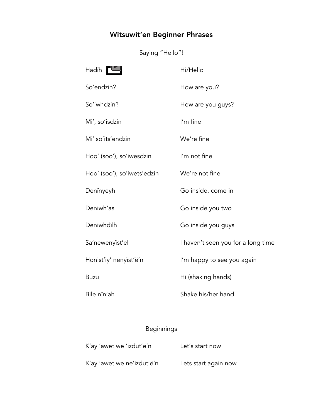## Witsuwit'en Beginner Phrases

Saying "Hello"!

| Hadïh                       | Hi/Hello                           |
|-----------------------------|------------------------------------|
| So'endzin?                  | How are you?                       |
| So'iwhdzin?                 | How are you guys?                  |
| Mi', so'isdzin              | I'm fine                           |
| Mi' so'its'endzin           | We're fine                         |
| Hoo' (soo'), so'iwesdzin    | I'm not fine                       |
| Hoo' (soo'), so'iwets'edzin | We're not fine                     |
| Denïnyeyh                   | Go inside, come in                 |
| Deniwh'as                   | Go inside you two                  |
| Deniwhdilh                  | Go inside you guys                 |
| Sa'newenyïst'el             | I haven't seen you for a long time |
| Honist'iy' nenyïst'ë'n      | I'm happy to see you again         |
| <b>Buzu</b>                 | Hi (shaking hands)                 |
| Bile nin'ah                 | Shake his/her hand                 |

## Beginnings

| K'ay 'awet we 'izdut'ë'n   | Let's start now      |
|----------------------------|----------------------|
| K'ay 'awet we ne'izdut'ë'n | Lets start again now |